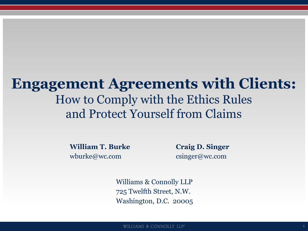#### **Engagement Agreements with Clients:** How to Comply with the Ethics Rules and Protect Yourself from Claims

**William T. Burke** wburke@wc.com

**Craig D. Singer** csinger@wc.com

Williams & Connolly LLP 725 Twelfth Street, N.W. Washington, D.C. 20005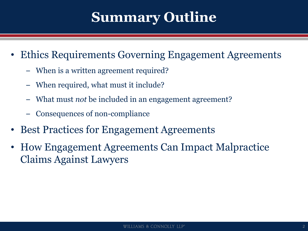### **Summary Outline**

- Ethics Requirements Governing Engagement Agreements
	- When is a written agreement required?
	- When required, what must it include?
	- What must *not* be included in an engagement agreement?
	- Consequences of non-compliance
- Best Practices for Engagement Agreements
- How Engagement Agreements Can Impact Malpractice Claims Against Lawyers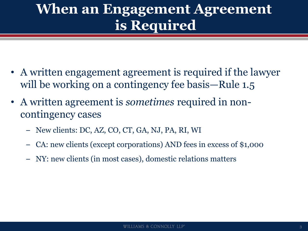#### **When an Engagement Agreement is Required**

- A written engagement agreement is required if the lawyer will be working on a contingency fee basis—Rule 1.5
- A written agreement is *sometimes* required in noncontingency cases
	- New clients: DC, AZ, CO, CT, GA, NJ, PA, RI, WI
	- CA: new clients (except corporations) AND fees in excess of \$1,000
	- NY: new clients (in most cases), domestic relations matters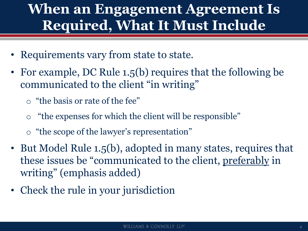### **When an Engagement Agreement Is Required, What It Must Include**

- Requirements vary from state to state.
- For example, DC Rule 1.5(b) requires that the following be communicated to the client "in writing"
	- o "the basis or rate of the fee"
	- o "the expenses for which the client will be responsible"
	- o "the scope of the lawyer's representation"
- But Model Rule 1.5(b), adopted in many states, requires that these issues be "communicated to the client, preferably in writing" (emphasis added)
- Check the rule in your jurisdiction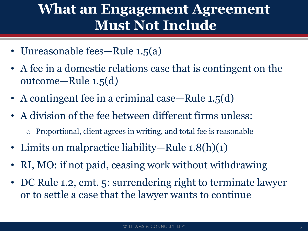#### **What an Engagement Agreement Must Not Include**

- Unreasonable fees—Rule 1.5(a)
- A fee in a domestic relations case that is contingent on the outcome—Rule 1.5(d)
- A contingent fee in a criminal case—Rule 1.5(d)
- A division of the fee between different firms unless:
	- o Proportional, client agrees in writing, and total fee is reasonable
- Limits on malpractice liability—Rule 1.8(h)(1)
- RI, MO: if not paid, ceasing work without withdrawing
- DC Rule 1.2, cmt. 5: surrendering right to terminate lawyer or to settle a case that the lawyer wants to continue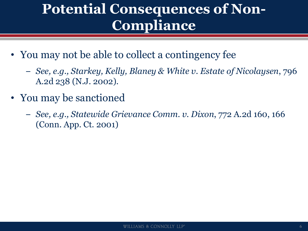### **Potential Consequences of Non-Compliance**

- You may not be able to collect a contingency fee
	- *See, e.g., Starkey, Kelly, Blaney & White v. Estate of Nicolaysen*, 796 A.2d 238 (N.J. 2002).
- You may be sanctioned
	- *See, e.g., Statewide Grievance Comm. v. Dixon*, 772 A.2d 160, 166 (Conn. App. Ct. 2001)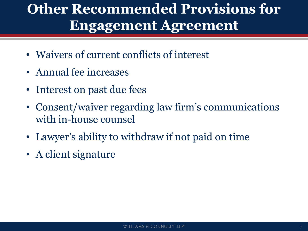## **Other Recommended Provisions for Engagement Agreement**

- Waivers of current conflicts of interest
- Annual fee increases
- Interest on past due fees
- Consent/waiver regarding law firm's communications with in-house counsel
- Lawyer's ability to withdraw if not paid on time
- A client signature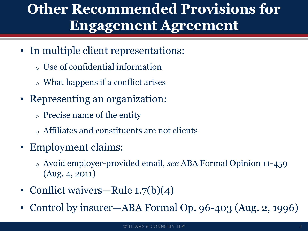## **Other Recommended Provisions for Engagement Agreement**

- In multiple client representations:
	- <sup>o</sup> Use of confidential information
	- <sup>o</sup> What happens if a conflict arises
- Representing an organization:
	- <sup>o</sup> Precise name of the entity
	- <sup>o</sup> Affiliates and constituents are not clients
- Employment claims:
	- <sup>o</sup> Avoid employer-provided email, *see* ABA Formal Opinion 11-459 (Aug. 4, 2011)
- Conflict waivers—Rule 1.7(b)(4)
- Control by insurer—ABA Formal Op. 96-403 (Aug. 2, 1996)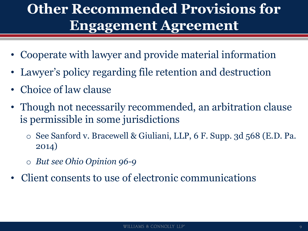## **Other Recommended Provisions for Engagement Agreement**

- Cooperate with lawyer and provide material information
- Lawyer's policy regarding file retention and destruction
- Choice of law clause
- Though not necessarily recommended, an arbitration clause is permissible in some jurisdictions
	- o See Sanford v. Bracewell & Giuliani, LLP, 6 F. Supp. 3d 568 (E.D. Pa. 2014)
	- o *But see Ohio Opinion 96-9*
- Client consents to use of electronic communications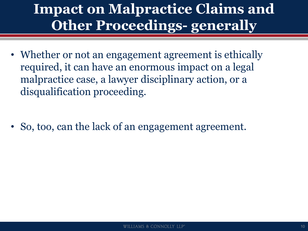#### **Impact on Malpractice Claims and Other Proceedings- generally**

• Whether or not an engagement agreement is ethically required, it can have an enormous impact on a legal malpractice case, a lawyer disciplinary action, or a disqualification proceeding.

• So, too, can the lack of an engagement agreement.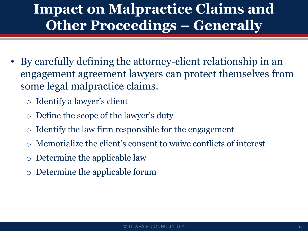### **Impact on Malpractice Claims and Other Proceedings – Generally**

- By carefully defining the attorney-client relationship in an engagement agreement lawyers can protect themselves from some legal malpractice claims.
	- o Identify a lawyer's client
	- Define the scope of the lawyer's duty
	- $\circ$  Identify the law firm responsible for the engagement
	- Memorialize the client's consent to waive conflicts of interest
	- Determine the applicable law
	- o Determine the applicable forum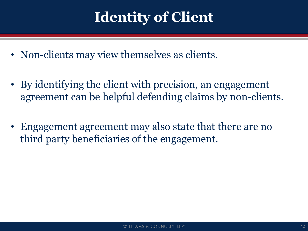- Non-clients may view themselves as clients.
- By identifying the client with precision, an engagement agreement can be helpful defending claims by non-clients.
- Engagement agreement may also state that there are no third party beneficiaries of the engagement.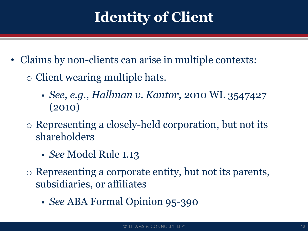- Claims by non-clients can arise in multiple contexts:
	- o Client wearing multiple hats.
		- *See, e.g.*, *Hallman v. Kantor*, 2010 WL 3547427 (2010)
	- o Representing a closely-held corporation, but not its shareholders
		- *See* Model Rule 1.13
	- o Representing a corporate entity, but not its parents, subsidiaries, or affiliates
		- *See* ABA Formal Opinion 95-390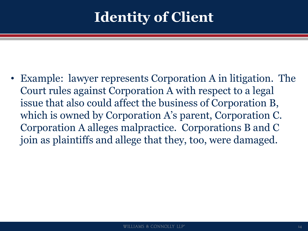• Example: lawyer represents Corporation A in litigation. The Court rules against Corporation A with respect to a legal issue that also could affect the business of Corporation B, which is owned by Corporation A's parent, Corporation C. Corporation A alleges malpractice. Corporations B and C join as plaintiffs and allege that they, too, were damaged.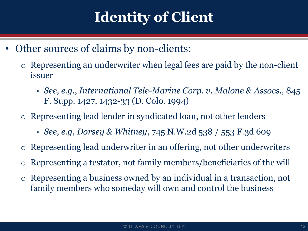- Other sources of claims by non-clients:
	- o Representing an underwriter when legal fees are paid by the non-client issuer
		- *See, e.g.*, *International Tele-Marine Corp. v. Malone & Assocs.,* 845 F. Supp. 1427, 1432-33 (D. Colo. 1994)
	- o Representing lead lender in syndicated loan, not other lenders
		- *See, e.g, Dorsey & Whitney*, 745 N.W.2d 538 / 553 F.3d 609
	- Representing lead underwriter in an offering, not other underwriters
	- Representing a testator, not family members/beneficiaries of the will
	- o Representing a business owned by an individual in a transaction, not family members who someday will own and control the business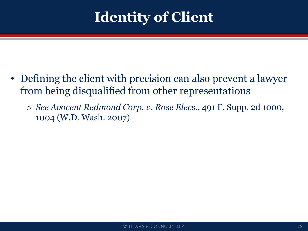- Defining the client with precision can also prevent a lawyer from being disqualified from other representations
	- o *See Avocent Redmond Corp. v. Rose Elecs.*, 491 F. Supp. 2d 1000, 1004 (W.D. Wash. 2007)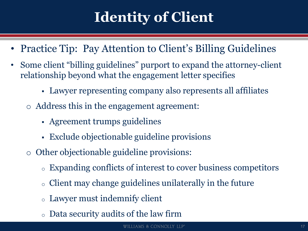- Practice Tip: Pay Attention to Client's Billing Guidelines
- Some client "billing guidelines" purport to expand the attorney-client relationship beyond what the engagement letter specifies
	- Lawyer representing company also represents all affiliates
	- o Address this in the engagement agreement:
		- Agreement trumps guidelines
		- Exclude objectionable guideline provisions
	- o Other objectionable guideline provisions:
		- <sup>o</sup> Expanding conflicts of interest to cover business competitors
		- <sup>o</sup> Client may change guidelines unilaterally in the future
		- <sup>o</sup> Lawyer must indemnify client
		- Data security audits of the law firm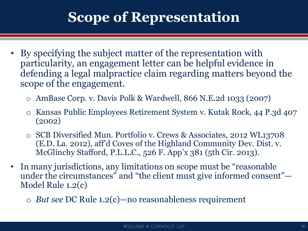#### **Scope of Representation**

- By specifying the subject matter of the representation with particularity, an engagement letter can be helpful evidence in defending a legal malpractice claim regarding matters beyond the scope of the engagement.
	- o AmBase Corp. v. Davis Polk & Wardwell, 866 N.E.2d 1033 (2007)
	- o Kansas Public Employees Retirement System v. Kutak Rock, 44 P.3d 407 (2002)
	- o SCB Diversified Mun. Portfolio v. Crews & Associates, 2012 WL13708 (E.D. La. 2012), aff'd Coves of the Highland Community Dev. Dist. v. McGlinchy Stafford, P.L.L.C., 526 F. App'x 381 (5th Cir. 2013).
- In many jurisdictions, any limitations on scope must be "reasonable under the circumstances" and "the client must give informed consent"— Model Rule 1.2(c)
	- o *But see* DC Rule 1.2(c)—no reasonableness requirement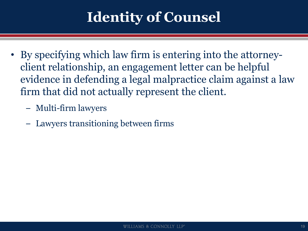## **Identity of Counsel**

- By specifying which law firm is entering into the attorneyclient relationship, an engagement letter can be helpful evidence in defending a legal malpractice claim against a law firm that did not actually represent the client.
	- Multi-firm lawyers
	- Lawyers transitioning between firms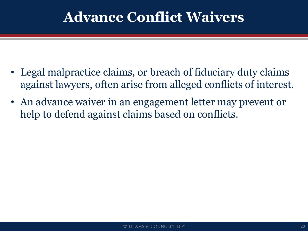#### **Advance Conflict Waivers**

- Legal malpractice claims, or breach of fiduciary duty claims against lawyers, often arise from alleged conflicts of interest.
- An advance waiver in an engagement letter may prevent or help to defend against claims based on conflicts.